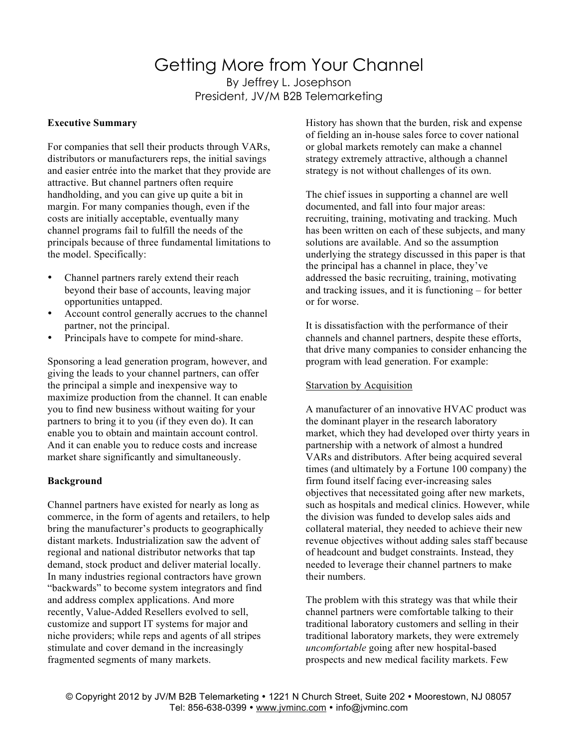# Getting More from Your Channel By Jeffrey L. Josephson President, JV/M B2B Telemarketing

# **Executive Summary**

For companies that sell their products through VARs, distributors or manufacturers reps, the initial savings and easier entrée into the market that they provide are attractive. But channel partners often require handholding, and you can give up quite a bit in margin. For many companies though, even if the costs are initially acceptable, eventually many channel programs fail to fulfill the needs of the principals because of three fundamental limitations to the model. Specifically:

- Channel partners rarely extend their reach beyond their base of accounts, leaving major opportunities untapped.
- Account control generally accrues to the channel partner, not the principal.
- Principals have to compete for mind-share.

Sponsoring a lead generation program, however, and giving the leads to your channel partners, can offer the principal a simple and inexpensive way to maximize production from the channel. It can enable you to find new business without waiting for your partners to bring it to you (if they even do). It can enable you to obtain and maintain account control. And it can enable you to reduce costs and increase market share significantly and simultaneously.

# **Background**

Channel partners have existed for nearly as long as commerce, in the form of agents and retailers, to help bring the manufacturer's products to geographically distant markets. Industrialization saw the advent of regional and national distributor networks that tap demand, stock product and deliver material locally. In many industries regional contractors have grown "backwards" to become system integrators and find and address complex applications. And more recently, Value-Added Resellers evolved to sell, customize and support IT systems for major and niche providers; while reps and agents of all stripes stimulate and cover demand in the increasingly fragmented segments of many markets.

History has shown that the burden, risk and expense of fielding an in-house sales force to cover national or global markets remotely can make a channel strategy extremely attractive, although a channel strategy is not without challenges of its own.

The chief issues in supporting a channel are well documented, and fall into four major areas: recruiting, training, motivating and tracking. Much has been written on each of these subjects, and many solutions are available. And so the assumption underlying the strategy discussed in this paper is that the principal has a channel in place, they've addressed the basic recruiting, training, motivating and tracking issues, and it is functioning – for better or for worse.

It is dissatisfaction with the performance of their channels and channel partners, despite these efforts, that drive many companies to consider enhancing the program with lead generation. For example:

# Starvation by Acquisition

A manufacturer of an innovative HVAC product was the dominant player in the research laboratory market, which they had developed over thirty years in partnership with a network of almost a hundred VARs and distributors. After being acquired several times (and ultimately by a Fortune 100 company) the firm found itself facing ever-increasing sales objectives that necessitated going after new markets, such as hospitals and medical clinics. However, while the division was funded to develop sales aids and collateral material, they needed to achieve their new revenue objectives without adding sales staff because of headcount and budget constraints. Instead, they needed to leverage their channel partners to make their numbers.

The problem with this strategy was that while their channel partners were comfortable talking to their traditional laboratory customers and selling in their traditional laboratory markets, they were extremely *uncomfortable* going after new hospital-based prospects and new medical facility markets. Few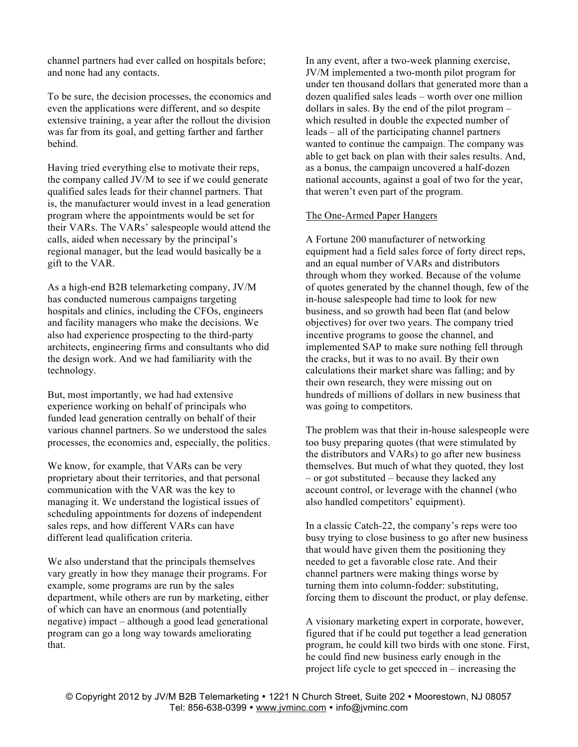channel partners had ever called on hospitals before; and none had any contacts.

To be sure, the decision processes, the economics and even the applications were different, and so despite extensive training, a year after the rollout the division was far from its goal, and getting farther and farther behind.

Having tried everything else to motivate their reps, the company called JV/M to see if we could generate qualified sales leads for their channel partners. That is, the manufacturer would invest in a lead generation program where the appointments would be set for their VARs. The VARs' salespeople would attend the calls, aided when necessary by the principal's regional manager, but the lead would basically be a gift to the VAR.

As a high-end B2B telemarketing company, JV/M has conducted numerous campaigns targeting hospitals and clinics, including the CFOs, engineers and facility managers who make the decisions. We also had experience prospecting to the third-party architects, engineering firms and consultants who did the design work. And we had familiarity with the technology.

But, most importantly, we had had extensive experience working on behalf of principals who funded lead generation centrally on behalf of their various channel partners. So we understood the sales processes, the economics and, especially, the politics.

We know, for example, that VARs can be very proprietary about their territories, and that personal communication with the VAR was the key to managing it. We understand the logistical issues of scheduling appointments for dozens of independent sales reps, and how different VARs can have different lead qualification criteria.

We also understand that the principals themselves vary greatly in how they manage their programs. For example, some programs are run by the sales department, while others are run by marketing, either of which can have an enormous (and potentially negative) impact – although a good lead generational program can go a long way towards ameliorating that.

In any event, after a two-week planning exercise, JV/M implemented a two-month pilot program for under ten thousand dollars that generated more than a dozen qualified sales leads – worth over one million dollars in sales. By the end of the pilot program – which resulted in double the expected number of leads – all of the participating channel partners wanted to continue the campaign. The company was able to get back on plan with their sales results. And, as a bonus, the campaign uncovered a half-dozen national accounts, against a goal of two for the year, that weren't even part of the program.

# The One-Armed Paper Hangers

A Fortune 200 manufacturer of networking equipment had a field sales force of forty direct reps, and an equal number of VARs and distributors through whom they worked. Because of the volume of quotes generated by the channel though, few of the in-house salespeople had time to look for new business, and so growth had been flat (and below objectives) for over two years. The company tried incentive programs to goose the channel, and implemented SAP to make sure nothing fell through the cracks, but it was to no avail. By their own calculations their market share was falling; and by their own research, they were missing out on hundreds of millions of dollars in new business that was going to competitors.

The problem was that their in-house salespeople were too busy preparing quotes (that were stimulated by the distributors and VARs) to go after new business themselves. But much of what they quoted, they lost – or got substituted – because they lacked any account control, or leverage with the channel (who also handled competitors' equipment).

In a classic Catch-22, the company's reps were too busy trying to close business to go after new business that would have given them the positioning they needed to get a favorable close rate. And their channel partners were making things worse by turning them into column-fodder: substituting, forcing them to discount the product, or play defense.

A visionary marketing expert in corporate, however, figured that if he could put together a lead generation program, he could kill two birds with one stone. First, he could find new business early enough in the project life cycle to get specced in – increasing the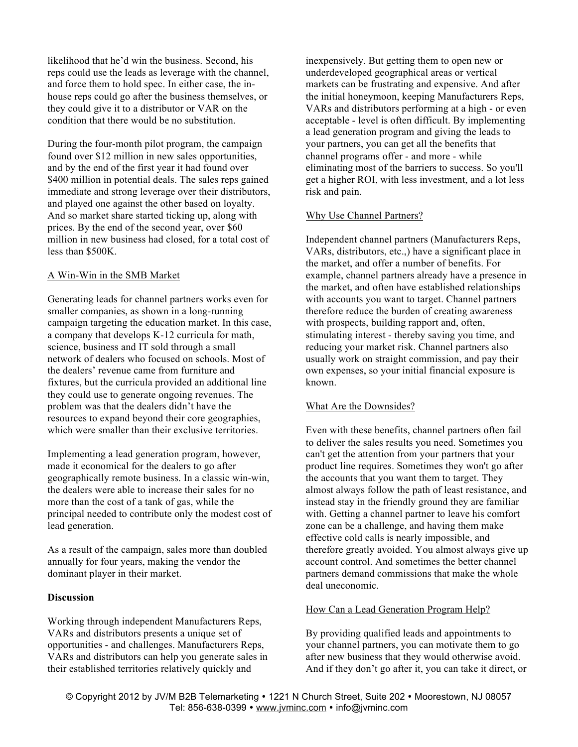likelihood that he'd win the business. Second, his reps could use the leads as leverage with the channel, and force them to hold spec. In either case, the inhouse reps could go after the business themselves, or they could give it to a distributor or VAR on the condition that there would be no substitution.

During the four-month pilot program, the campaign found over \$12 million in new sales opportunities, and by the end of the first year it had found over \$400 million in potential deals. The sales reps gained immediate and strong leverage over their distributors, and played one against the other based on loyalty. And so market share started ticking up, along with prices. By the end of the second year, over \$60 million in new business had closed, for a total cost of less than \$500K.

### A Win-Win in the SMB Market

Generating leads for channel partners works even for smaller companies, as shown in a long-running campaign targeting the education market. In this case, a company that develops K-12 curricula for math, science, business and IT sold through a small network of dealers who focused on schools. Most of the dealers' revenue came from furniture and fixtures, but the curricula provided an additional line they could use to generate ongoing revenues. The problem was that the dealers didn't have the resources to expand beyond their core geographies, which were smaller than their exclusive territories.

Implementing a lead generation program, however, made it economical for the dealers to go after geographically remote business. In a classic win-win, the dealers were able to increase their sales for no more than the cost of a tank of gas, while the principal needed to contribute only the modest cost of lead generation.

As a result of the campaign, sales more than doubled annually for four years, making the vendor the dominant player in their market.

## **Discussion**

Working through independent Manufacturers Reps, VARs and distributors presents a unique set of opportunities - and challenges. Manufacturers Reps, VARs and distributors can help you generate sales in their established territories relatively quickly and

inexpensively. But getting them to open new or underdeveloped geographical areas or vertical markets can be frustrating and expensive. And after the initial honeymoon, keeping Manufacturers Reps, VARs and distributors performing at a high - or even acceptable - level is often difficult. By implementing a lead generation program and giving the leads to your partners, you can get all the benefits that channel programs offer - and more - while eliminating most of the barriers to success. So you'll get a higher ROI, with less investment, and a lot less risk and pain.

# Why Use Channel Partners?

Independent channel partners (Manufacturers Reps, VARs, distributors, etc.,) have a significant place in the market, and offer a number of benefits. For example, channel partners already have a presence in the market, and often have established relationships with accounts you want to target. Channel partners therefore reduce the burden of creating awareness with prospects, building rapport and, often, stimulating interest - thereby saving you time, and reducing your market risk. Channel partners also usually work on straight commission, and pay their own expenses, so your initial financial exposure is known.

#### What Are the Downsides?

Even with these benefits, channel partners often fail to deliver the sales results you need. Sometimes you can't get the attention from your partners that your product line requires. Sometimes they won't go after the accounts that you want them to target. They almost always follow the path of least resistance, and instead stay in the friendly ground they are familiar with. Getting a channel partner to leave his comfort zone can be a challenge, and having them make effective cold calls is nearly impossible, and therefore greatly avoided. You almost always give up account control. And sometimes the better channel partners demand commissions that make the whole deal uneconomic.

### How Can a Lead Generation Program Help?

By providing qualified leads and appointments to your channel partners, you can motivate them to go after new business that they would otherwise avoid. And if they don't go after it, you can take it direct, or

© Copyright 2012 by JV/M B2B Telemarketing • 1221 N Church Street, Suite 202 • Moorestown, NJ 08057 Tel: 856-638-0399 · www.jvminc.com · info@jvminc.com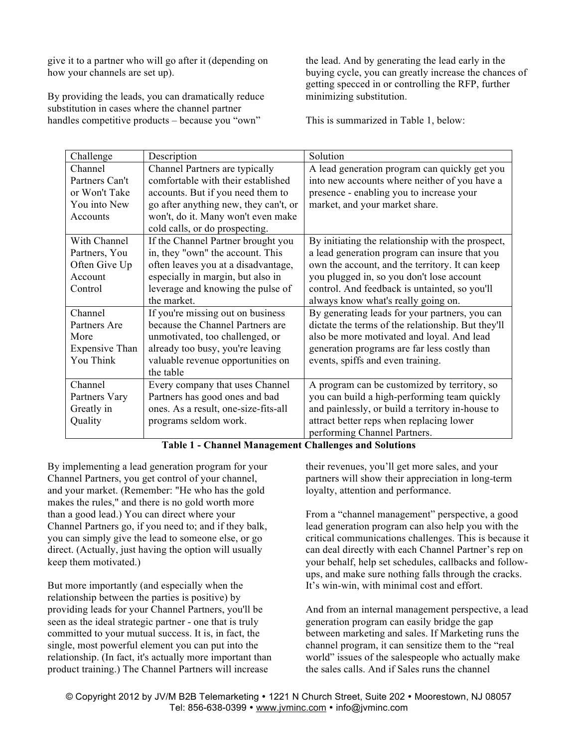give it to a partner who will go after it (depending on how your channels are set up).

By providing the leads, you can dramatically reduce substitution in cases where the channel partner handles competitive products – because you "own"

the lead. And by generating the lead early in the buying cycle, you can greatly increase the chances of getting specced in or controlling the RFP, further minimizing substitution.

This is summarized in Table 1, below:

| Challenge             | Description                           | Solution                                           |
|-----------------------|---------------------------------------|----------------------------------------------------|
| Channel               | Channel Partners are typically        | A lead generation program can quickly get you      |
| Partners Can't        | comfortable with their established    | into new accounts where neither of you have a      |
| or Won't Take         | accounts. But if you need them to     | presence - enabling you to increase your           |
| You into New          | go after anything new, they can't, or | market, and your market share.                     |
|                       |                                       |                                                    |
| Accounts              | won't, do it. Many won't even make    |                                                    |
|                       | cold calls, or do prospecting.        |                                                    |
| With Channel          | If the Channel Partner brought you    | By initiating the relationship with the prospect,  |
| Partners, You         | in, they "own" the account. This      | a lead generation program can insure that you      |
| Often Give Up         | often leaves you at a disadvantage,   | own the account, and the territory. It can keep    |
| Account               | especially in margin, but also in     | you plugged in, so you don't lose account          |
| Control               | leverage and knowing the pulse of     | control. And feedback is untainted, so you'll      |
|                       | the market.                           | always know what's really going on.                |
| Channel               | If you're missing out on business     | By generating leads for your partners, you can     |
| Partners Are          | because the Channel Partners are      | dictate the terms of the relationship. But they'll |
| More                  | unmotivated, too challenged, or       | also be more motivated and loyal. And lead         |
| <b>Expensive Than</b> | already too busy, you're leaving      | generation programs are far less costly than       |
| You Think             | valuable revenue opportunities on     | events, spiffs and even training.                  |
|                       | the table                             |                                                    |
| Channel               | Every company that uses Channel       | A program can be customized by territory, so       |
| Partners Vary         | Partners has good ones and bad        | you can build a high-performing team quickly       |
| Greatly in            | ones. As a result, one-size-fits-all  | and painlessly, or build a territory in-house to   |
| Quality               | programs seldom work.                 | attract better reps when replacing lower           |
|                       |                                       | performing Channel Partners.                       |

# **Table 1 - Channel Management Challenges and Solutions**

By implementing a lead generation program for your Channel Partners, you get control of your channel, and your market. (Remember: "He who has the gold makes the rules," and there is no gold worth more than a good lead.) You can direct where your Channel Partners go, if you need to; and if they balk, you can simply give the lead to someone else, or go direct. (Actually, just having the option will usually keep them motivated.)

But more importantly (and especially when the relationship between the parties is positive) by providing leads for your Channel Partners, you'll be seen as the ideal strategic partner - one that is truly committed to your mutual success. It is, in fact, the single, most powerful element you can put into the relationship. (In fact, it's actually more important than product training.) The Channel Partners will increase

their revenues, you'll get more sales, and your partners will show their appreciation in long-term loyalty, attention and performance.

From a "channel management" perspective, a good lead generation program can also help you with the critical communications challenges. This is because it can deal directly with each Channel Partner's rep on your behalf, help set schedules, callbacks and followups, and make sure nothing falls through the cracks. It's win-win, with minimal cost and effort.

And from an internal management perspective, a lead generation program can easily bridge the gap between marketing and sales. If Marketing runs the channel program, it can sensitize them to the "real world" issues of the salespeople who actually make the sales calls. And if Sales runs the channel